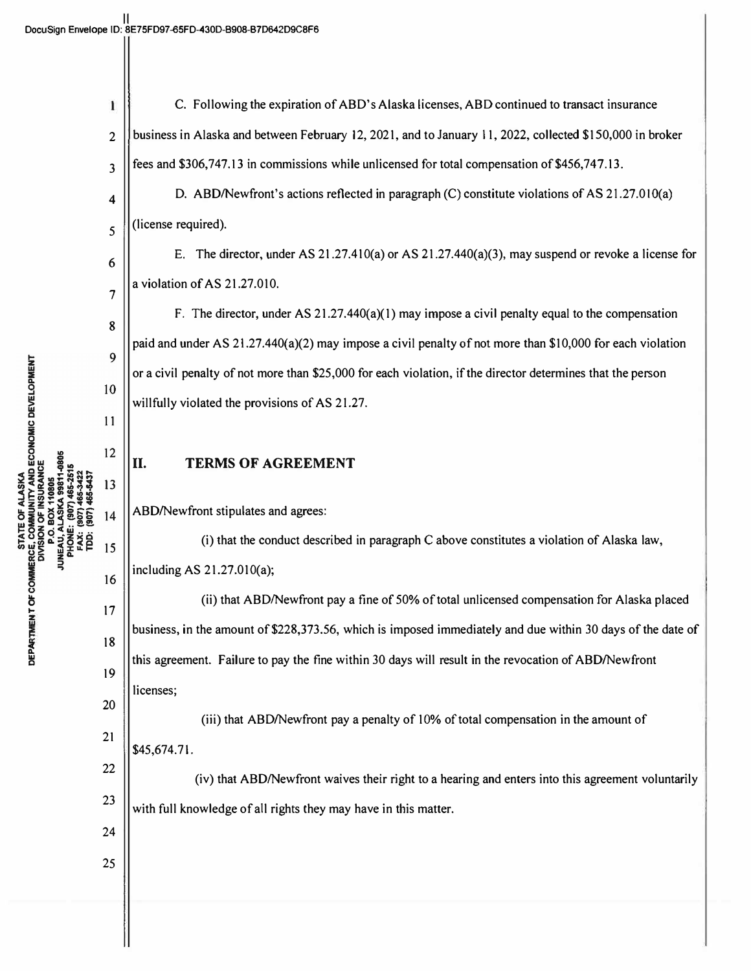| ı              | C. Following the expiration of ABD's Alaska licenses, ABD continued to transact insurance                   |  |  |
|----------------|-------------------------------------------------------------------------------------------------------------|--|--|
| $\overline{2}$ | business in Alaska and between February 12, 2021, and to January 11, 2022, collected \$150,000 in broker    |  |  |
| 3              | fees and \$306,747.13 in commissions while unlicensed for total compensation of \$456,747.13.               |  |  |
| 4              | D. ABD/Newfront's actions reflected in paragraph (C) constitute violations of AS 21.27.010(a)               |  |  |
| 5              | (license required).                                                                                         |  |  |
| 6              | E. The director, under AS $21.27.410(a)$ or AS $21.27.440(a)(3)$ , may suspend or revoke a license for      |  |  |
| 7              | a violation of AS 21.27.010.                                                                                |  |  |
| 8              | F. The director, under AS $21.27.440(a)(1)$ may impose a civil penalty equal to the compensation            |  |  |
| 9              | paid and under AS 21.27.440(a)(2) may impose a civil penalty of not more than \$10,000 for each violation   |  |  |
| 10             | or a civil penalty of not more than \$25,000 for each violation, if the director determines that the person |  |  |
| 11             | willfully violated the provisions of AS 21.27.                                                              |  |  |
| 12             |                                                                                                             |  |  |
| 13             | II.<br><b>TERMS OF AGREEMENT</b>                                                                            |  |  |
| 14             | ABD/Newfront stipulates and agrees:                                                                         |  |  |
| 15             | (i) that the conduct described in paragraph C above constitutes a violation of Alaska law,                  |  |  |
| 16             | including AS 21.27.010(a);                                                                                  |  |  |
| 17             | (ii) that ABD/Newfront pay a fine of 50% of total unlicensed compensation for Alaska placed                 |  |  |
|                | business, in the amount of \$228,373.56, which is imposed immediately and due within 30 days of the date of |  |  |
| 18             | this agreement. Failure to pay the fine within 30 days will result in the revocation of ABD/Newfront        |  |  |
| 19             | licenses;                                                                                                   |  |  |
| 20             | (iii) that ABD/Newfront pay a penalty of 10% of total compensation in the amount of                         |  |  |
| 21             | \$45,674.71.                                                                                                |  |  |
| 22             | (iv) that ABD/Newfront waives their right to a hearing and enters into this agreement voluntarily           |  |  |
| 23             | with full knowledge of all rights they may have in this matter.                                             |  |  |
| 24             |                                                                                                             |  |  |
| 25             |                                                                                                             |  |  |
|                |                                                                                                             |  |  |

II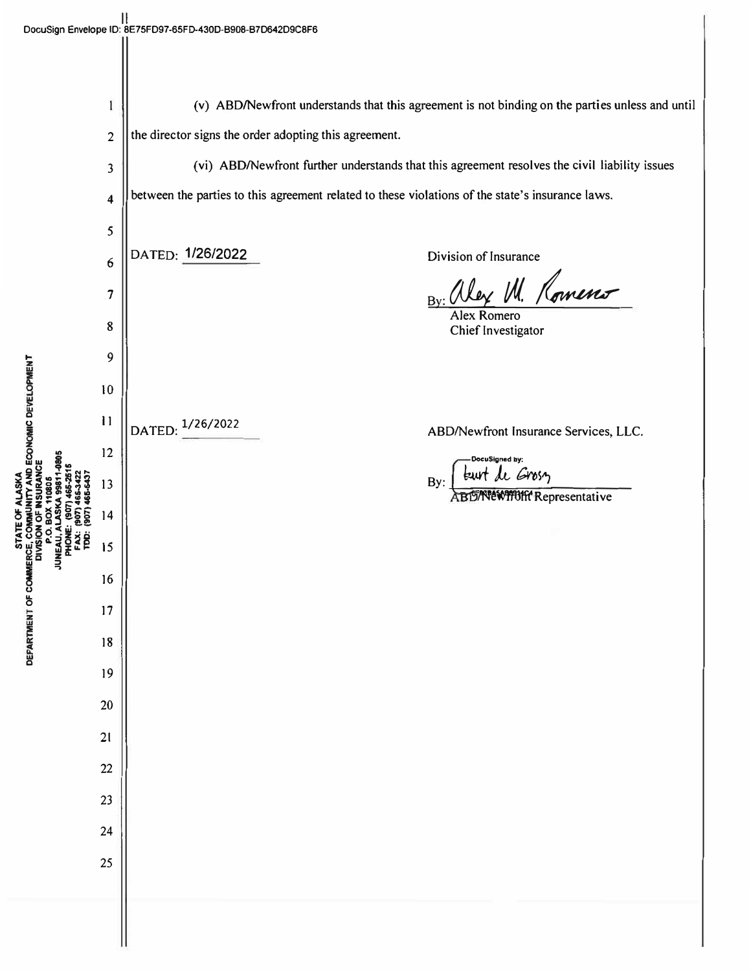$\mathbb{I}$ 

|                            | 1              | (v) ABD/Newfront understands that this agreement is not binding on the parties unless and until  |
|----------------------------|----------------|--------------------------------------------------------------------------------------------------|
|                            | $\overline{c}$ | the director signs the order adopting this agreement.                                            |
|                            | 3              | (vi) ABD/Newfront further understands that this agreement resolves the civil liability issues    |
|                            | 4              | between the parties to this agreement related to these violations of the state's insurance laws. |
|                            | 5              |                                                                                                  |
|                            | 6              | DATED: 1/26/2022<br>Division of Insurance                                                        |
|                            | 7              | By: alex M. Romens                                                                               |
|                            | 8              | Chief Investigator                                                                               |
|                            | 9              |                                                                                                  |
|                            | 10             |                                                                                                  |
| Y AND ECONOMIC DEVELOPMENT | $\mathbf{1}$   | 1/26/2022<br>DATED:<br>ABD/Newfront Insurance Services, LLC.                                     |
| 1-0805                     | 12             | DocuSigned by:                                                                                   |
| <b>URANCE</b><br>YSKA      | 13             | burt de Gross<br>By:<br><b>ABD AVEWITH Representative</b>                                        |
|                            | 14             |                                                                                                  |
| <b>JUNEA</b><br>≧          | 15             |                                                                                                  |
| INT OF COMMERCE,           | 16             |                                                                                                  |
|                            | 17             |                                                                                                  |
| <b>DEPARTME</b>            | 18             |                                                                                                  |
|                            | 19             |                                                                                                  |
|                            | 20             |                                                                                                  |
|                            | $21$           |                                                                                                  |
|                            | 22             |                                                                                                  |
|                            | 23             |                                                                                                  |
|                            | 24             |                                                                                                  |
|                            | 25             |                                                                                                  |
|                            |                |                                                                                                  |
|                            |                |                                                                                                  |
|                            |                |                                                                                                  |